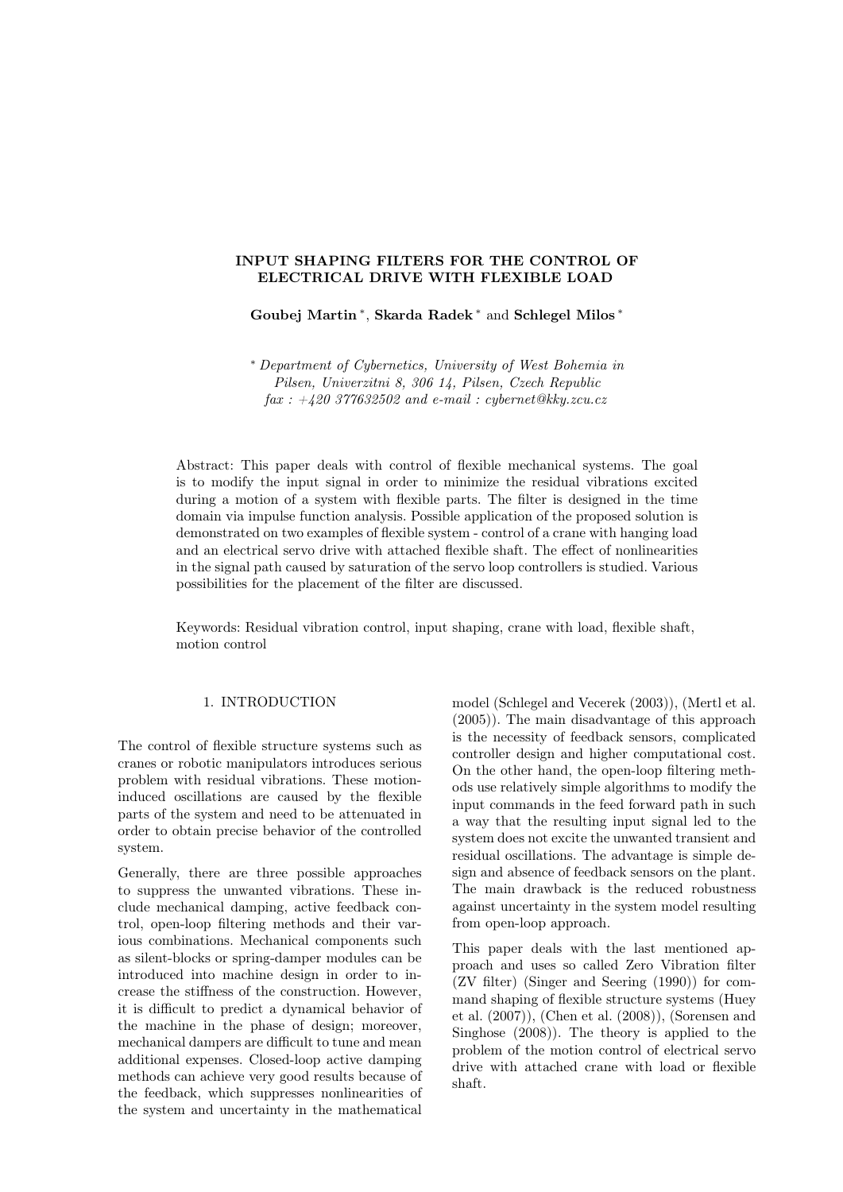## INPUT SHAPING FILTERS FOR THE CONTROL OF ELECTRICAL DRIVE WITH FLEXIBLE LOAD

Goubej Martin <sup>∗</sup> , Skarda Radek <sup>∗</sup> and Schlegel Milos <sup>∗</sup>

<sup>∗</sup> Department of Cybernetics, University of West Bohemia in Pilsen, Univerzitni 8, 306 14, Pilsen, Czech Republic  $\int ax : +420\frac{377632502}{a}$  and e-mail : cybernet@kky.zcu.cz

Abstract: This paper deals with control of flexible mechanical systems. The goal is to modify the input signal in order to minimize the residual vibrations excited during a motion of a system with flexible parts. The filter is designed in the time domain via impulse function analysis. Possible application of the proposed solution is demonstrated on two examples of flexible system - control of a crane with hanging load and an electrical servo drive with attached flexible shaft. The effect of nonlinearities in the signal path caused by saturation of the servo loop controllers is studied. Various possibilities for the placement of the filter are discussed.

Keywords: Residual vibration control, input shaping, crane with load, flexible shaft, motion control

## 1. INTRODUCTION

The control of flexible structure systems such as cranes or robotic manipulators introduces serious problem with residual vibrations. These motioninduced oscillations are caused by the flexible parts of the system and need to be attenuated in order to obtain precise behavior of the controlled system.

Generally, there are three possible approaches to suppress the unwanted vibrations. These include mechanical damping, active feedback control, open-loop filtering methods and their various combinations. Mechanical components such as silent-blocks or spring-damper modules can be introduced into machine design in order to increase the stiffness of the construction. However, it is difficult to predict a dynamical behavior of the machine in the phase of design; moreover, mechanical dampers are difficult to tune and mean additional expenses. Closed-loop active damping methods can achieve very good results because of the feedback, which suppresses nonlinearities of the system and uncertainty in the mathematical

model (Schlegel and Vecerek (2003)), (Mertl et al. (2005)). The main disadvantage of this approach is the necessity of feedback sensors, complicated controller design and higher computational cost. On the other hand, the open-loop filtering methods use relatively simple algorithms to modify the input commands in the feed forward path in such a way that the resulting input signal led to the system does not excite the unwanted transient and residual oscillations. The advantage is simple design and absence of feedback sensors on the plant. The main drawback is the reduced robustness against uncertainty in the system model resulting from open-loop approach.

This paper deals with the last mentioned approach and uses so called Zero Vibration filter (ZV filter) (Singer and Seering (1990)) for command shaping of flexible structure systems (Huey et al. (2007)), (Chen et al. (2008)), (Sorensen and Singhose (2008)). The theory is applied to the problem of the motion control of electrical servo drive with attached crane with load or flexible shaft.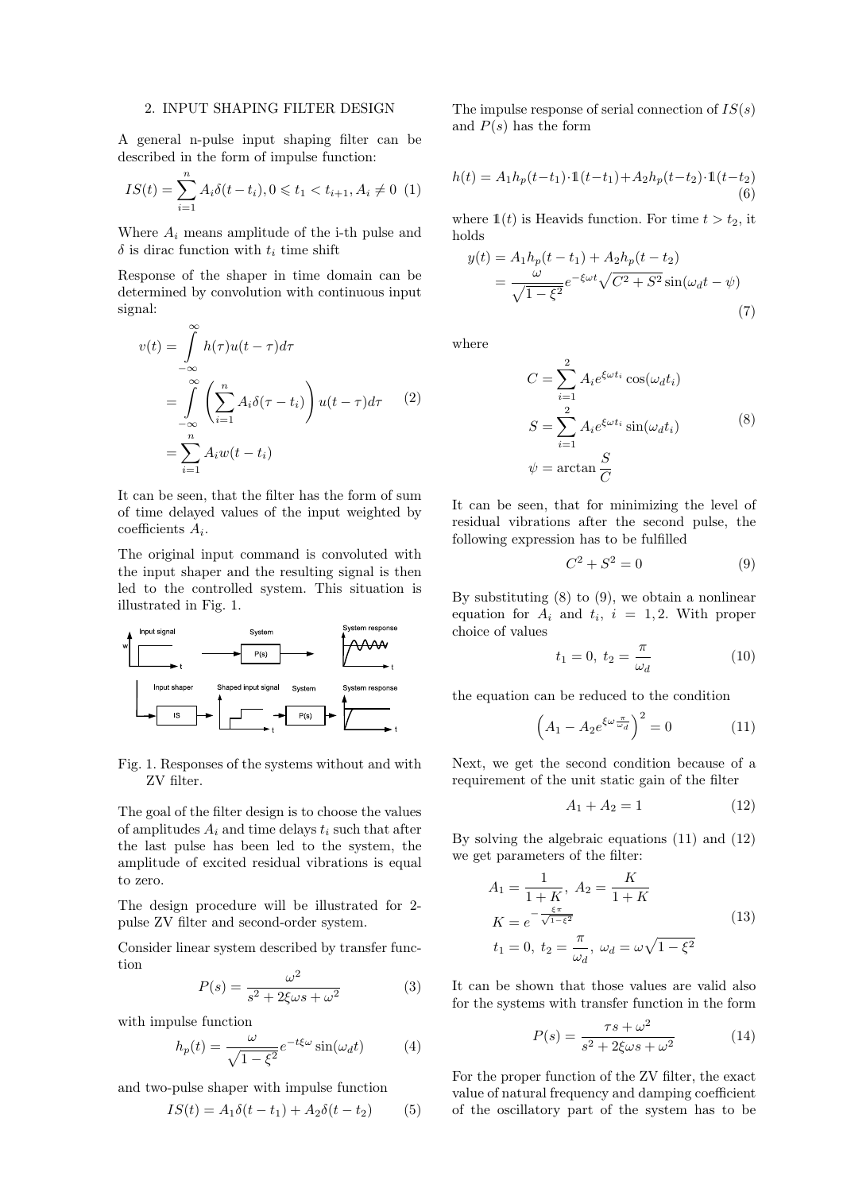#### 2. INPUT SHAPING FILTER DESIGN

A general n-pulse input shaping filter can be described in the form of impulse function:

$$
IS(t) = \sum_{i=1}^{n} A_i \delta(t - t_i), 0 \leq t_1 < t_{i+1}, A_i \neq 0 \tag{1}
$$

Where  $A_i$  means amplitude of the i-th pulse and  $\delta$  is dirac function with  $t_i$  time shift

Response of the shaper in time domain can be determined by convolution with continuous input signal:

$$
v(t) = \int_{-\infty}^{\infty} h(\tau)u(t-\tau)d\tau
$$
  
= 
$$
\int_{-\infty}^{\infty} \left(\sum_{i=1}^{n} A_i \delta(\tau - t_i)\right) u(t-\tau)d\tau
$$
 (2)  
= 
$$
\sum_{i=1}^{n} A_i w(t-t_i)
$$

It can be seen, that the filter has the form of sum of time delayed values of the input weighted by  $coefficients A_i$ .

The original input command is convoluted with the input shaper and the resulting signal is then led to the controlled system. This situation is illustrated in Fig. 1.



Fig. 1. Responses of the systems without and with ZV filter.

The goal of the filter design is to choose the values of amplitudes  $A_i$  and time delays  $t_i$  such that after the last pulse has been led to the system, the amplitude of excited residual vibrations is equal to zero.

The design procedure will be illustrated for 2 pulse ZV filter and second-order system.

Consider linear system described by transfer function

$$
P(s) = \frac{\omega^2}{s^2 + 2\xi\omega s + \omega^2}
$$
 (3)

with impulse function

$$
h_p(t) = \frac{\omega}{\sqrt{1 - \xi^2}} e^{-t\xi\omega} \sin(\omega_d t) \tag{4}
$$

and two-pulse shaper with impulse function

$$
IS(t) = A_1 \delta(t - t_1) + A_2 \delta(t - t_2)
$$
 (5)

The impulse response of serial connection of  $IS(s)$ and  $P(s)$  has the form

$$
h(t) = A_1 h_p(t - t_1) \cdot \mathbb{1}(t - t_1) + A_2 h_p(t - t_2) \cdot \mathbb{1}(t - t_2)
$$
\n(6)

where  $\mathbb{1}(t)$  is Heavids function. For time  $t > t_2$ , it holds

$$
y(t) = A_1 h_p(t - t_1) + A_2 h_p(t - t_2)
$$
  
= 
$$
\frac{\omega}{\sqrt{1 - \xi^2}} e^{-\xi \omega t} \sqrt{C^2 + S^2} \sin(\omega_d t - \psi)
$$
(7)

where

$$
C = \sum_{i=1}^{2} A_i e^{\xi \omega t_i} \cos(\omega_d t_i)
$$
  
\n
$$
S = \sum_{i=1}^{2} A_i e^{\xi \omega t_i} \sin(\omega_d t_i)
$$
 (8)  
\n
$$
\psi = \arctan \frac{S}{C}
$$

It can be seen, that for minimizing the level of residual vibrations after the second pulse, the following expression has to be fulfilled

$$
C^2 + S^2 = 0 \tag{9}
$$

By substituting  $(8)$  to  $(9)$ , we obtain a nonlinear equation for  $A_i$  and  $t_i$ ,  $i = 1, 2$ . With proper choice of values

$$
t_1 = 0, \ t_2 = \frac{\pi}{\omega_d} \tag{10}
$$

the equation can be reduced to the condition

$$
\left(A_1 - A_2 e^{\xi \omega \frac{\pi}{\omega_d}}\right)^2 = 0 \tag{11}
$$

Next, we get the second condition because of a requirement of the unit static gain of the filter

$$
A_1 + A_2 = 1 \tag{12}
$$

By solving the algebraic equations (11) and (12) we get parameters of the filter:

$$
A_1 = \frac{1}{1+K}, A_2 = \frac{K}{1+K}
$$
  
\n
$$
K = e^{-\frac{\xi \pi}{\sqrt{1-\xi^2}}}
$$
  
\n
$$
t_1 = 0, t_2 = \frac{\pi}{\omega_d}, \omega_d = \omega \sqrt{1-\xi^2}
$$
\n(13)

It can be shown that those values are valid also for the systems with transfer function in the form

$$
P(s) = \frac{\tau s + \omega^2}{s^2 + 2\xi\omega s + \omega^2} \tag{14}
$$

For the proper function of the ZV filter, the exact value of natural frequency and damping coefficient of the oscillatory part of the system has to be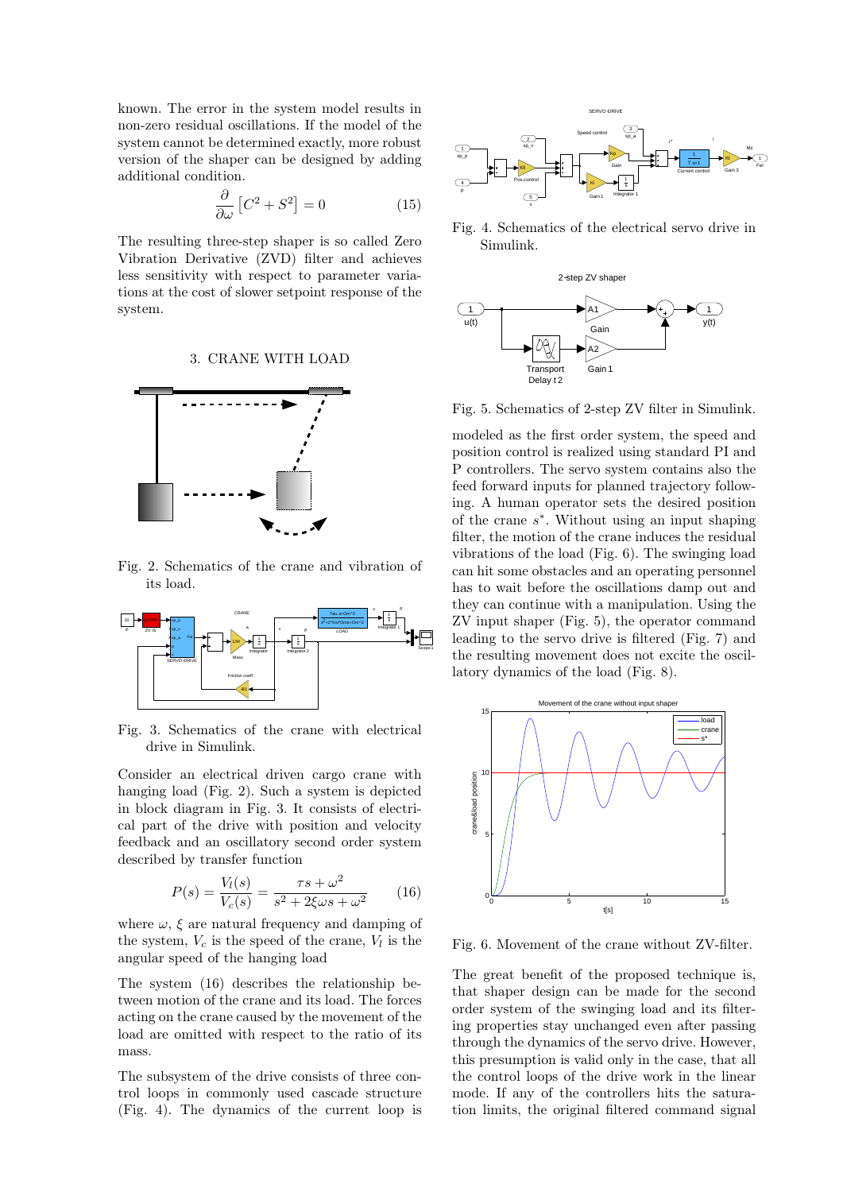known. The error in the system model results in non-zero residual oscillations. If the model of the system cannot be determined exactly, more robust version of the shaper can be designed by adding additional condition.

$$
\frac{\partial}{\partial \omega} \left[ C^2 + S^2 \right] = 0 \tag{15}
$$

The resulting three-step shaper is so called Zero Vibration Derivative (ZVD) filter and achieves less sensitivity with respect to parameter variations at the cost of slower setpoint response of the system.

#### 3. CRANE WITH LOAD



Fig. 2. Schematics of the crane and vibration of its load.



Fig. 3. Schematics of the crane with electrical drive in Simulink.

Consider an electrical driven cargo crane with hanging load (Fig. 2). Such a system is depicted in block diagram in Fig. 3. It consists of electrical part of the drive with position and velocity feedback and an oscillatory second order system described by transfer function

$$
P(s) = \frac{V_l(s)}{V_c(s)} = \frac{\tau s + \omega^2}{s^2 + 2\xi\omega s + \omega^2}
$$
 (16)

where  $\omega$ ,  $\xi$  are natural frequency and damping of the system,  $V_c$  is the speed of the crane,  $V_l$  is the angular speed of the hanging load

The system (16) describes the relationship between motion of the crane and its load. The forces acting on the crane caused by the movement of the load are omitted with respect to the ratio of its mass.

The subsystem of the drive consists of three control loops in commonly used cascade structure



Fig. 4. Schematics of the electrical servo drive in Simulink.



Fig. 5. Schematics of 2-step ZV filter in Simulink.

(Fig. 3). Selection of the current of the current loop is the current of the current of the current of the current of the current of the current of the current of the current of the current of the current of the current o modeled as the first order system, the speed and position control is realized using standard PI and P controllers. The servo system contains also the feed forward inputs for planned trajectory following. A human operator sets the desired position of the crane s ∗ . Without using an input shaping filter, the motion of the crane induces the residual vibrations of the load (Fig. 6). The swinging load can hit some obstacles and an operating personnel has to wait before the oscillations damp out and they can continue with a manipulation. Using the ZV input shaper (Fig. 5), the operator command leading to the servo drive is filtered (Fig. 7) and the resulting movement does not excite the oscillatory dynamics of the load (Fig. 8).



Fig. 6. Movement of the crane without ZV-filter.

The great benefit of the proposed technique is, that shaper design can be made for the second order system of the swinging load and its filtering properties stay unchanged even after passing through the dynamics of the servo drive. However, this presumption is valid only in the case, that all the control loops of the drive work in the linear mode. If any of the controllers hits the saturation limits, the original filtered command signal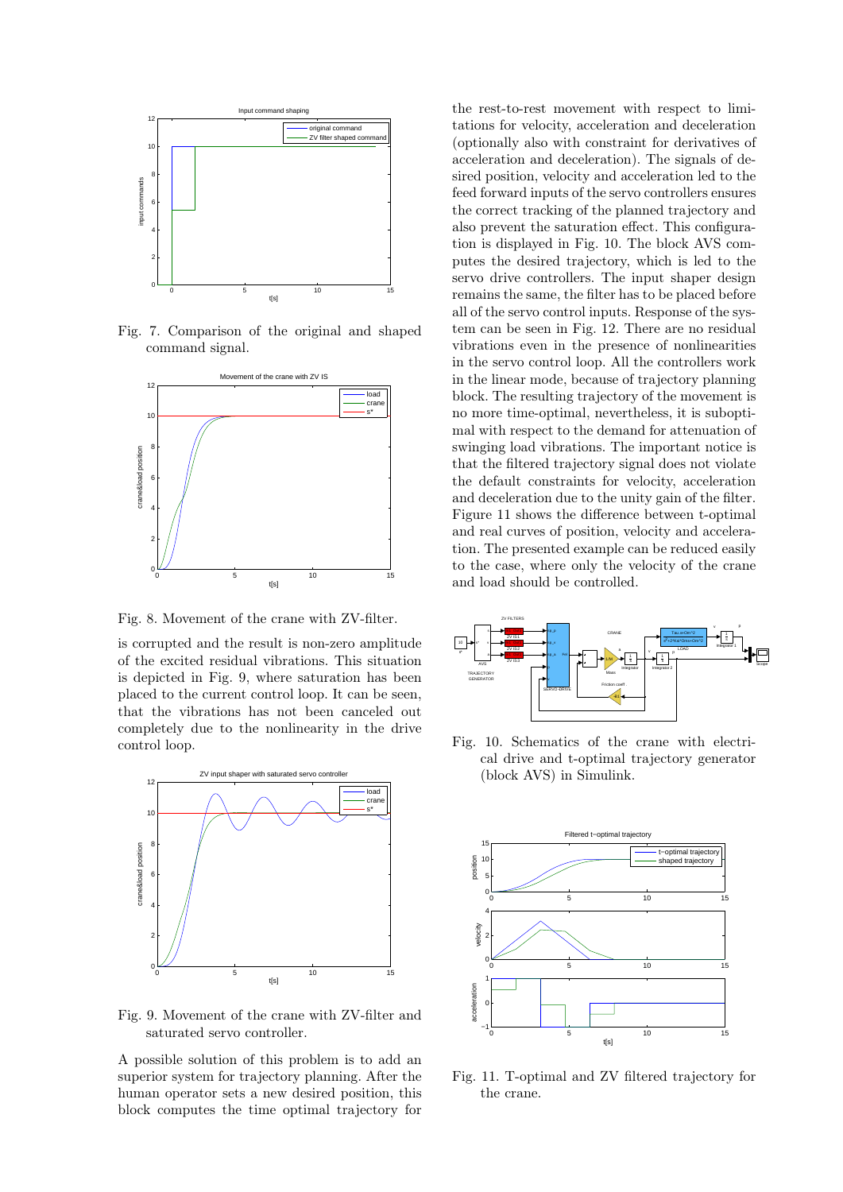

Fig. 7. Comparison of the original and shaped command signal.



Fig. 8. Movement of the crane with ZV-filter.

is corrupted and the result is non-zero amplitude of the excited residual vibrations. This situation is depicted in Fig. 9, where saturation has been placed to the current control loop. It can be seen, that the vibrations has not been canceled out completely due to the nonlinearity in the drive control loop.



Fig. 9. Movement of the crane with ZV-filter and saturated servo controller.

A possible solution of this problem is to add an superior system for trajectory planning. After the human operator sets a new desired position, this block computes the time optimal trajectory for

the rest-to-rest movement with respect to limitations for velocity, acceleration and deceleration (optionally also with constraint for derivatives of acceleration and deceleration). The signals of desired position, velocity and acceleration led to the feed forward inputs of the servo controllers ensures the correct tracking of the planned trajectory and also prevent the saturation effect. This configuration is displayed in Fig. 10. The block AVS computes the desired trajectory, which is led to the servo drive controllers. The input shaper design remains the same, the filter has to be placed before all of the servo control inputs. Response of the system can be seen in Fig. 12. There are no residual vibrations even in the presence of nonlinearities in the servo control loop. All the controllers work in the linear mode, because of trajectory planning block. The resulting trajectory of the movement is no more time-optimal, nevertheless, it is suboptimal with respect to the demand for attenuation of swinging load vibrations. The important notice is that the filtered trajectory signal does not violate the default constraints for velocity, acceleration and deceleration due to the unity gain of the filter. Figure 11 shows the difference between t-optimal and real curves of position, velocity and acceleration. The presented example can be reduced easily to the case, where only the velocity of the crane and load should be controlled.



Fig. 10. Schematics of the crane with electrical drive and t-optimal trajectory generator (block AVS) in Simulink.



Fig. 11. T-optimal and ZV filtered trajectory for the crane.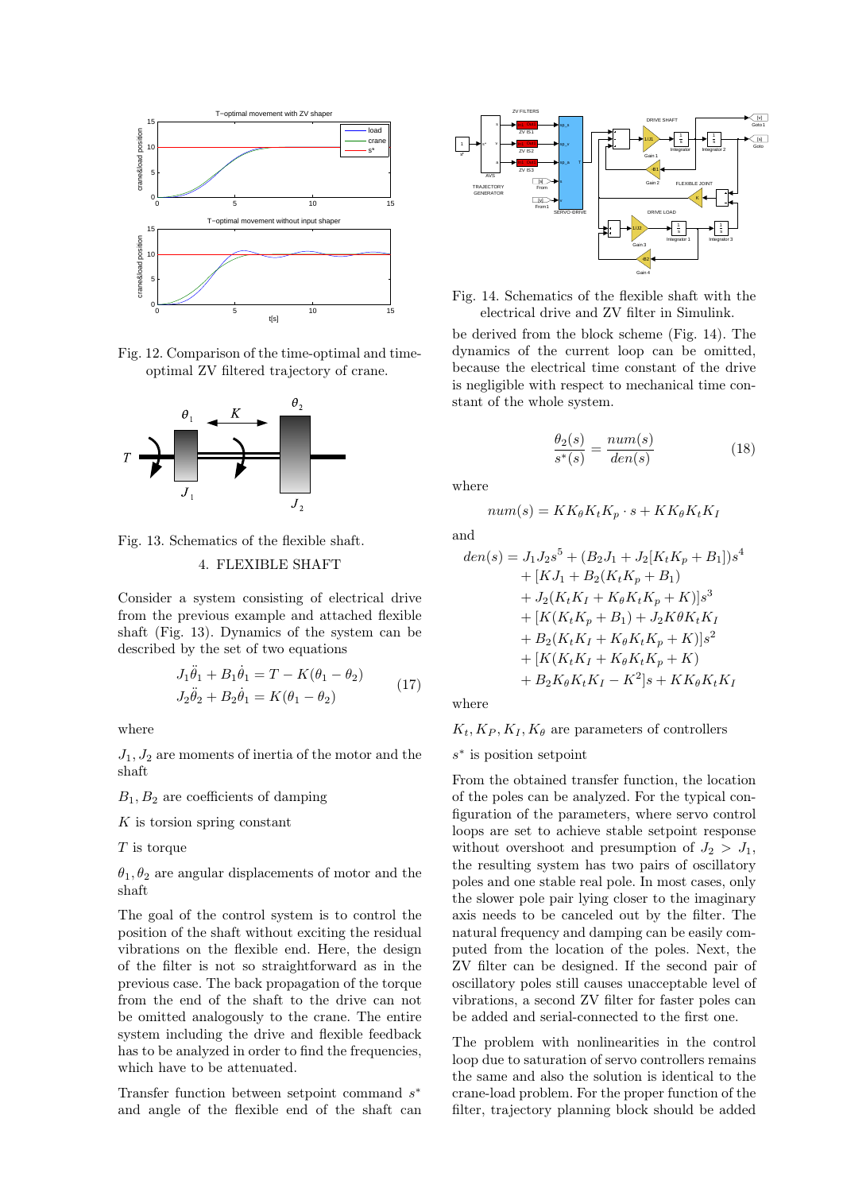

Fig. 12. Comparison of the time-optimal and timeoptimal ZV filtered trajectory of crane.



Fig. 13. Schematics of the flexible shaft. 4. FLEXIBLE SHAFT

Consider a system consisting of electrical drive from the previous example and attached flexible shaft (Fig. 13). Dynamics of the system can be described by the set of two equations

$$
J_1\ddot{\theta}_1 + B_1\dot{\theta}_1 = T - K(\theta_1 - \theta_2)
$$
  
\n
$$
J_2\ddot{\theta}_2 + B_2\dot{\theta}_1 = K(\theta_1 - \theta_2)
$$
\n(17)

where

 $J_1, J_2$  are moments of inertia of the motor and the shaft

 $B_1, B_2$  are coefficients of damping

 $K$  is torsion spring constant

T is torque

 $\theta_1, \theta_2$  are angular displacements of motor and the shaft

The goal of the control system is to control the position of the shaft without exciting the residual vibrations on the flexible end. Here, the design of the filter is not so straightforward as in the previous case. The back propagation of the torque from the end of the shaft to the drive can not be omitted analogously to the crane. The entire system including the drive and flexible feedback has to be analyzed in order to find the frequencies, which have to be attenuated.

Transfer function between setpoint command  $s^*$ and angle of the flexible end of the shaft can



Fig. 14. Schematics of the flexible shaft with the electrical drive and ZV filter in Simulink.

be derived from the block scheme (Fig. 14). The dynamics of the current loop can be omitted, because the electrical time constant of the drive is negligible with respect to mechanical time constant of the whole system.

$$
\frac{\theta_2(s)}{s^*(s)} = \frac{num(s)}{den(s)}\tag{18}
$$

where

$$
num(s) = KK_{\theta}K_tK_p \cdot s + KK_{\theta}K_tK_l
$$

and

$$
den(s) = J_1 J_2 s^5 + (B_2 J_1 + J_2 [K_t K_p + B_1]) s^4
$$
  
+ 
$$
[K J_1 + B_2 (K_t K_p + B_1)
$$
  
+ 
$$
J_2 (K_t K_I + K_\theta K_t K_p + K)] s^3
$$
  
+ 
$$
[K (K_t K_p + B_1) + J_2 K \theta K_t K_I
$$
  
+ 
$$
B_2 (K_t K_I + K_\theta K_t K_p + K)] s^2
$$
  
+ 
$$
[K (K_t K_I + K_\theta K_t K_p + K)
$$
  
+ 
$$
B_2 K_\theta K_t K_I - K^2] s + K K_\theta K_t K_I
$$

where

#### $K_t, K_P, K_I, K_\theta$  are parameters of controllers

s ∗ is position setpoint

From the obtained transfer function, the location of the poles can be analyzed. For the typical configuration of the parameters, where servo control loops are set to achieve stable setpoint response without overshoot and presumption of  $J_2 > J_1$ , the resulting system has two pairs of oscillatory poles and one stable real pole. In most cases, only the slower pole pair lying closer to the imaginary axis needs to be canceled out by the filter. The natural frequency and damping can be easily computed from the location of the poles. Next, the ZV filter can be designed. If the second pair of oscillatory poles still causes unacceptable level of vibrations, a second ZV filter for faster poles can be added and serial-connected to the first one.

The problem with nonlinearities in the control loop due to saturation of servo controllers remains the same and also the solution is identical to the crane-load problem. For the proper function of the filter, trajectory planning block should be added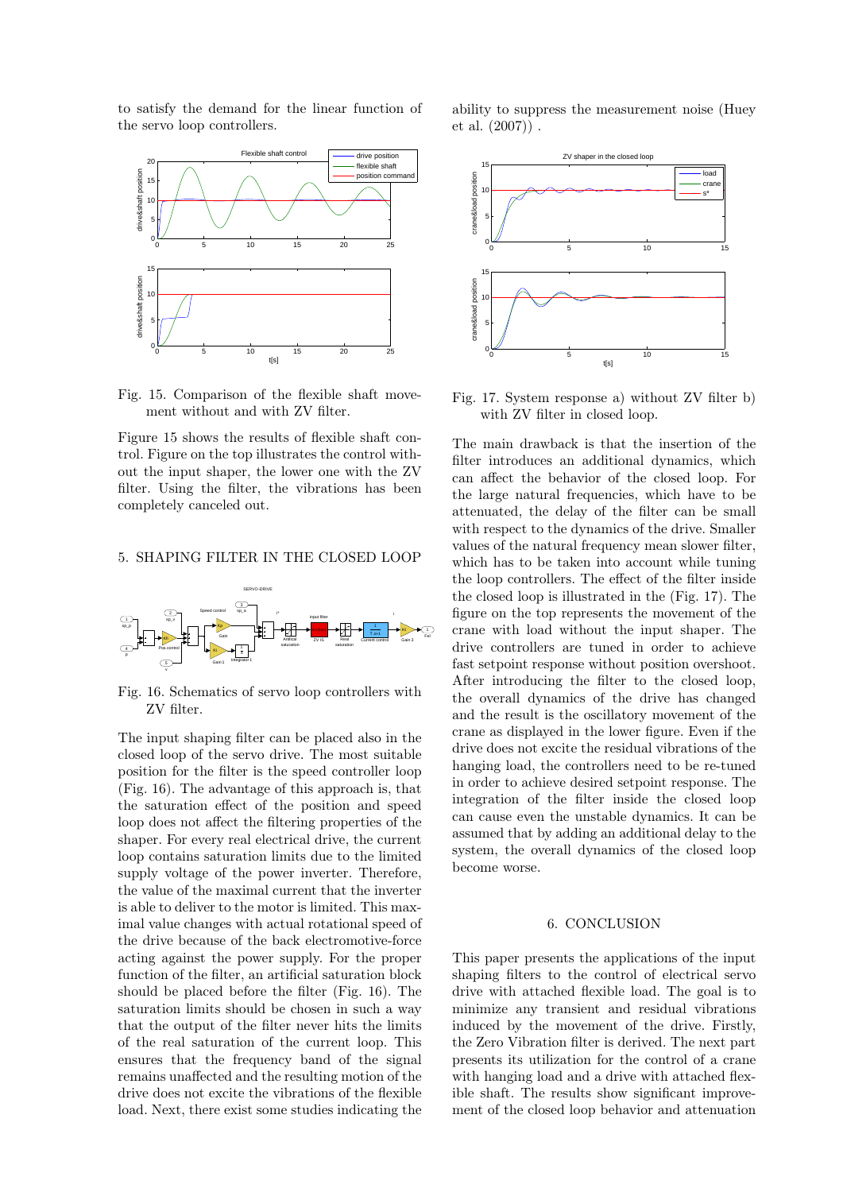to satisfy the demand for the linear function of the servo loop controllers.



Fig. 15. Comparison of the flexible shaft movement without and with ZV filter.

Figure 15 shows the results of flexible shaft control. Figure on the top illustrates the control without the input shaper, the lower one with the ZV filter. Using the filter, the vibrations has been completely canceled out.

## 5. SHAPING FILTER IN THE CLOSED LOOP



Fig. 16. Schematics of servo loop controllers with ZV filter.

The input shaping filter can be placed also in the closed loop of the servo drive. The most suitable position for the filter is the speed controller loop (Fig. 16). The advantage of this approach is, that the saturation effect of the position and speed loop does not affect the filtering properties of the shaper. For every real electrical drive, the current loop contains saturation limits due to the limited supply voltage of the power inverter. Therefore, the value of the maximal current that the inverter is able to deliver to the motor is limited. This maximal value changes with actual rotational speed of the drive because of the back electromotive-force acting against the power supply. For the proper function of the filter, an artificial saturation block should be placed before the filter (Fig. 16). The saturation limits should be chosen in such a way that the output of the filter never hits the limits of the real saturation of the current loop. This ensures that the frequency band of the signal remains unaffected and the resulting motion of the drive does not excite the vibrations of the flexible load. Next, there exist some studies indicating the ability to suppress the measurement noise (Huey et al. (2007)) .



Fig. 17. System response a) without ZV filter b) with ZV filter in closed loop.

The main drawback is that the insertion of the filter introduces an additional dynamics, which can affect the behavior of the closed loop. For the large natural frequencies, which have to be attenuated, the delay of the filter can be small with respect to the dynamics of the drive. Smaller values of the natural frequency mean slower filter, which has to be taken into account while tuning the loop controllers. The effect of the filter inside the closed loop is illustrated in the (Fig. 17). The figure on the top represents the movement of the crane with load without the input shaper. The drive controllers are tuned in order to achieve fast setpoint response without position overshoot. After introducing the filter to the closed loop, the overall dynamics of the drive has changed and the result is the oscillatory movement of the crane as displayed in the lower figure. Even if the drive does not excite the residual vibrations of the hanging load, the controllers need to be re-tuned in order to achieve desired setpoint response. The integration of the filter inside the closed loop can cause even the unstable dynamics. It can be assumed that by adding an additional delay to the system, the overall dynamics of the closed loop become worse.

# 6. CONCLUSION

This paper presents the applications of the input shaping filters to the control of electrical servo drive with attached flexible load. The goal is to minimize any transient and residual vibrations induced by the movement of the drive. Firstly, the Zero Vibration filter is derived. The next part presents its utilization for the control of a crane with hanging load and a drive with attached flexible shaft. The results show significant improvement of the closed loop behavior and attenuation